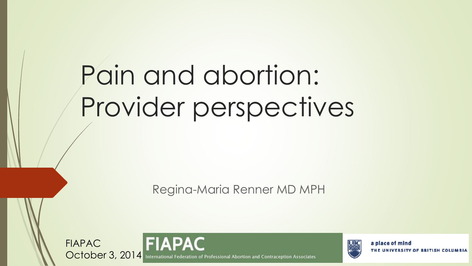# Pain and abortion: Provider perspectives

Regina-Maria Renner MD MPH

**FIAPAC** FIAPAC October 3, 2014nternational Federation of Professional Abortion and Contraception Associates



a place of mind UNIVERSITY OF BRITISH COLUMBIA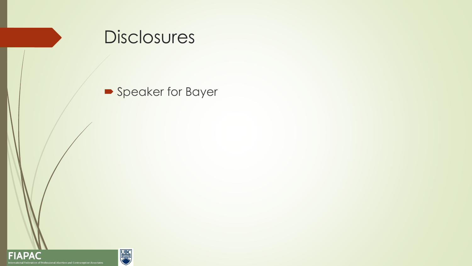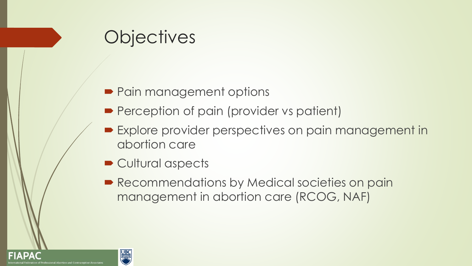# **Objectives**

- Pain management options
- **Perception of pain (provider vs patient)**
- **Explore provider perspectives on pain management in** abortion care
- **Cultural aspects**
- Recommendations by Medical societies on pain management in abortion care (RCOG, NAF)



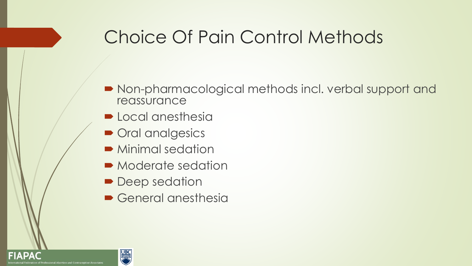# Choice Of Pain Control Methods

- Non-pharmacological methods incl. verbal support and reassurance
- **Local anesthesia**
- Oral analgesics
- Minimal sedation
- Moderate sedation
- Deep sedation
- General anesthesia



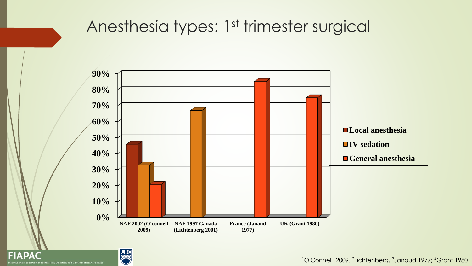#### Anesthesia types: 1st trimester surgical



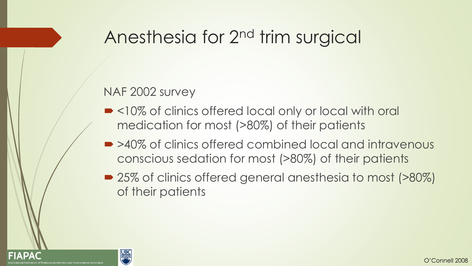### Anesthesia for 2nd trim surgical

#### NAF 2002 survey

- <10% of clinics offered local only or local with oral medication for most (>80%) of their patients
- >40% of clinics offered combined local and intravenous conscious sedation for most (>80%) of their patients
- 25% of clinics offered general anesthesia to most (>80%) of their patients



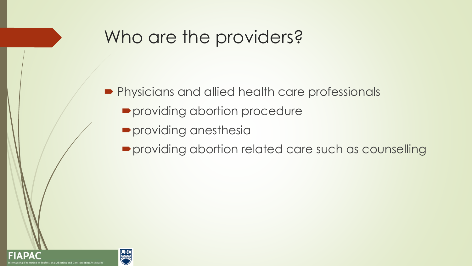#### Who are the providers?

**Physicians and allied health care professionals** 

- **P** providing abortion procedure
- **P**providing anesthesia
- **P** providing abortion related care such as counselling

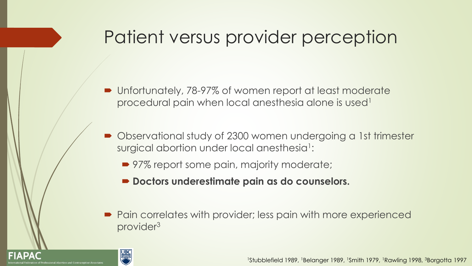#### Patient versus provider perception

- Unfortunately, 78-97% of women report at least moderate procedural pain when local anesthesia alone is used<sup>1</sup>
- Observational study of 2300 women undergoing a 1st trimester surgical abortion under local anesthesia<sup>1</sup>:
	- 97% report some pain, majority moderate;
	- **Doctors underestimate pain as do counselors.**
- Pain correlates with provider; less pain with more experienced provider<sup>3</sup>

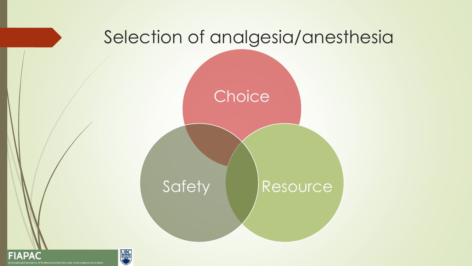



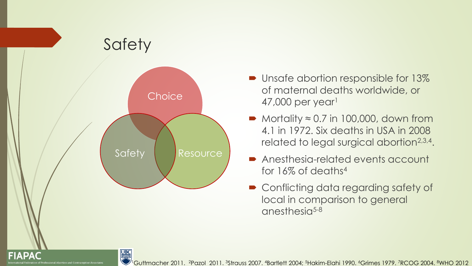

- **Unsafe abortion responsible for 13%** of maternal deaths worldwide, or 47,000 per year<sup>1</sup>
- Mortality  $\approx 0.7$  in 100,000, down from 4.1 in 1972. Six deaths in USA in 2008 related to legal surgical abortion<sup>2,3,4</sup>.
- **Anesthesia-related events account** for 16% of deaths<sup>4</sup>
- Conflicting data regarding safety of local in comparison to general anesthesia<sup>5-8</sup>

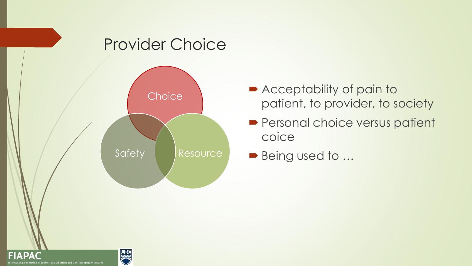

- **Acceptability of pain to** patient, to provider, to society
- **Personal choice versus patient** coice
- Being used to ...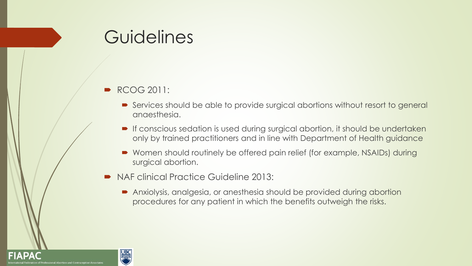#### **Guidelines**

#### RCOG 2011:

- Services should be able to provide surgical abortions without resort to general anaesthesia.
- If conscious sedation is used during surgical abortion, it should be undertaken only by trained practitioners and in line with Department of Health guidance
- Women should routinely be offered pain relief (for example, NSAIDs) during surgical abortion.
- NAF clinical Practice Guideline 2013:
	- Anxiolysis, analgesia, or anesthesia should be provided during abortion procedures for any patient in which the benefits outweigh the risks.



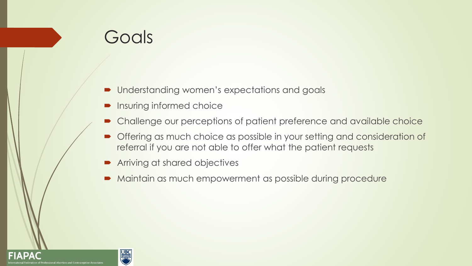# Goals

- **Understanding women's expectations and goals**
- Insuring informed choice
- Challenge our perceptions of patient preference and available choice
- Offering as much choice as possible in your setting and consideration of referral if you are not able to offer what the patient requests
- **•** Arriving at shared objectives
- Maintain as much empowerment as possible during procedure



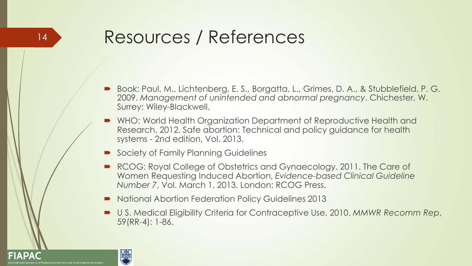#### Resources / References

- Book: Paul, M., Lichtenberg, E. S., Borgatta, L., Grimes, D. A., & Stubblefield, P. G. 2009. *Management of unintended and abnormal pregnancy*. Chichester, W. Surrey: Wiley-Blackwell.
- WHO: World Health Organization Department of Reproductive Health and Research. 2012. Safe abortion: Technical and policy guidance for health systems - 2nd edition, Vol. 2013.
- Society of Family Planning Guidelines
- RCOG: Royal College of Obstetrics and Gynaecology. 2011. The Care of Women Requesting Induced Abortion, *Evidence-based Clinical Guideline Number 7*, Vol. March 1, 2013. London: RCOG Press.
- $\rightarrow$  National Abortion Federation Policy Guidelines 2013
- U S. Medical Eligibility Criteria for Contraceptive Use, 2010. *MMWR Recomm Rep*, 59(RR-4): 1-86.

**UBC** 

14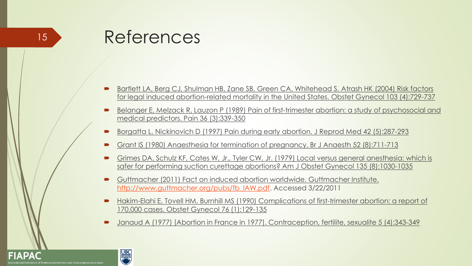15 References

- Bartlett LA, Berg CJ, Shulman HB, Zane SB, Green CA, Whitehead S, Atrash HK (2004) Risk factors for legal induced abortion-related mortality in the United States. Obstet Gynecol 103 (4):729-737
- Belanger E, Melzack R, Lauzon P (1989) Pain of first-trimester abortion: a study of psychosocial and medical predictors. Pain 36 (3):339-350
- Borgatta L, Nickinovich D (1997) Pain during early abortion. J Reprod Med 42 (5):287-293
- Grant IS (1980) Anaesthesia for termination of pregnancy. Br J Anaesth 52 (8):711-713
- Grimes DA, Schulz KF, Cates W, Jr., Tyler CW, Jr. (1979) Local versus general anesthesia: which is safer for performing suction curettage abortions? Am J Obstet Gynecol 135 (8):1030-1035
- Guttmacher (2011) Fact on induced abortion worldwide. Guttmacher Institute. [http://www.guttmacher.org/pubs/fb\\_IAW.pdf.](http://www.guttmacher.org/pubs/fb_IAW.pdf) Accessed 3/22/2011
- Hakim-Elahi E, Tovell HM, Burnhill MS (1990) Complications of first-trimester abortion: a report of 170,000 cases. Obstet Gynecol 76 (1):129-135
- Janaud A (1977) [Abortion in France in 1977]. Contraception, fertilite, sexualite 5 (4):343-349



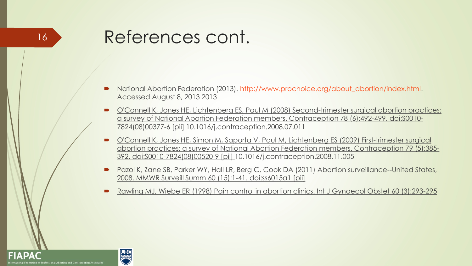#### 16 References cont.

- National Abortion Federation (2013). [http://www.prochoice.org/about\\_abortion/index.html](http://www.prochoice.org/about_abortion/index.html). Accessed August 8, 2013 2013
- O'Connell K, Jones HE, Lichtenberg ES, Paul M (2008) Second-trimester surgical abortion practices: a survey of National Abortion Federation members. Contraception 78 (6):492-499. doi:S0010- 7824(08)00377-6 [pii] 10.1016/j.contraception.2008.07.011
- O'Connell K, Jones HE, Simon M, Saporta V, Paul M, Lichtenberg ES (2009) First-trimester surgical abortion practices: a survey of National Abortion Federation members. Contraception 79 (5):385- 392. doi:S0010-7824(08)00520-9 [pii] 10.1016/j.contraception.2008.11.005
- Pazol K, Zane SB, Parker WY, Hall LR, Berg C, Cook DA (2011) Abortion surveillance--United States, 2008. MMWR Surveill Summ 60 (15):1-41. doi:ss6015a1 [pii]
- Rawling MJ, Wiebe ER (1998) Pain control in abortion clinics. Int J Gynaecol Obstet 60 (3):293-295